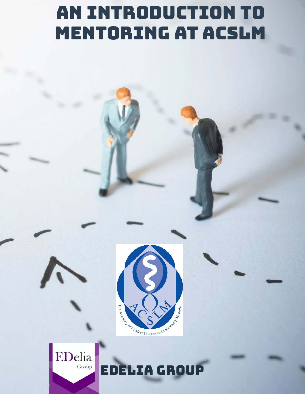# An Introduction to Mentoring at ACSLM





EDelia Group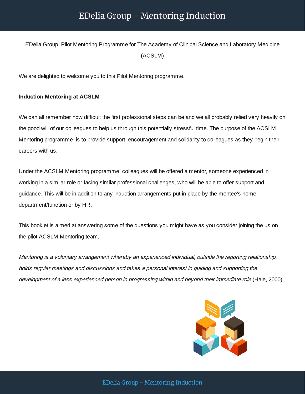# EDelia Group - Mentoring Induction

EDelia Group Pilot Mentoring Programme for The Academy of Clinical Science and Laboratory Medicine (ACSLM)

We are delighted to welcome you to this Pilot Mentoring programme.

#### Induction Mentoring at ACSLM

We can all remember how difficult the first professional steps can be and we all probably relied very heavily on the good will of our colleagues to help us through this potentially stressful time. The purpose of the ACSLM Mentoring programme is to provide support, encouragement and solidarity to colleagues as they begin their careers with us.

Under the ACSLM Mentoring programme, colleagues will be offered a mentor, someone experienced in working in a similar role or facing similar professional challenges, who will be able to offer support and guidance. This will be in addition to any induction arrangements put in place by the mentee's home department/function or by HR.

This booklet is aimed at answering some of the questions you might have as you consider joining the us on the pilot ACSLM Mentoring team.

development of a less experienced person in progressing within and beyond their immediate role (Hale, 2000). Mentoring is a voluntary arrangement whereby an experienced individual, outside the reporting relationship, holds regular meetings and discussions and takes a personal interest in guiding and supporting the

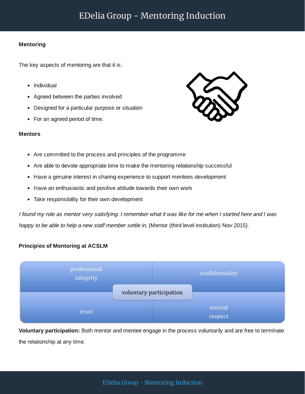## Mentoring

The key aspects of mentoring are that it is:

- Individual
- Agreed between the parties involved
- Designed for a particular purpose or situation
- For an agreed period of time.



### **Mentors**

- Are committed to the process and principles of the programme
- Are able to devote appropriate time to make the mentoring relationship successful
- Have a genuine interest in sharing experience to support mentees development
- Have an enthusiastic and positive attitude towards their own work
- Take responsibility for their own development

happy to be able to help a new staff member settle in, (Mentor (third level institution)-Nov:2015). I found my role as mentor very satisfying. I remember what it was like for me when I started here and I was

## Principles of Mentoring at ACSLM



Both mentor and mentee engage in the process voluntarily and are free to terminate Voluntary participation:the relationship at any time.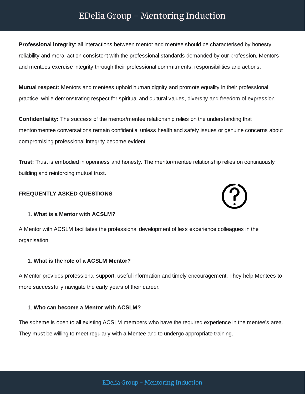# EDelia Group - Mentoring Induction

: all interactions between mentor and mentee should be characterised by honesty, Professional integrity reliability and moral action consistent with the professional standards demanded by our profession. Mentors and mentees exercise integrity through their professional commitments, responsibilities and actions.

Mentors and mentees uphold human dignity and promote equality in their professional Mutual respect: practice, while demonstrating respect for spiritual and cultural values, diversity and freedom of expression.

The success of the mentors of the indirection relationship relies on the understanding that mentor/mentee conversations remain confidential unless health and safety issues or genuine concerns about compromising professional integrity become evident.

Trust is embodied in openness and honesty. The mentor/mentee relationship relies on continuously Trust: building and reinforcing mutual trust.

### FREQUENTLY ASKED QUESTIONS

#### 1. What is a Mentor with ACSLM?

A Mentor with ACSLM facilitates the professional development of less experience colleagues in the organisation.

### 1. What is the role of a ACSLM Mentor?

A Mentor provides professional support, useful information and timely encouragement. They help Mentees to more successfully navigate the early years of their career.

#### 1. Who can become a Mentor with ACSLM?

The scheme is open to all existing ACSLM members who have the required experience in the mentee's area. They must be willing to meet regularly with a Mentee and to undergo appropriate training.

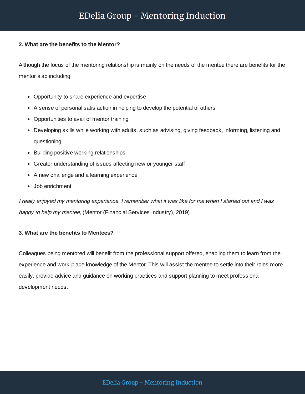### 2. What are the benefits to the Mentor?

Although the focus of the mentoring relationship is mainly on the needs of the mentee there are benefits for the mentor also including:

- Opportunity to share experience and expertise  $\bullet$
- A sense of personal satisfaction in helping to develop the potential of others
- Opportunities to avail of mentor training
- Developing skills while working with adults, such as advising, giving feedback, informing, listening and questioning
- Building positive working relationships
- Greater understanding of issues affecting new or younger staff
- A new challenge and a learning experience
- Job enrichment

*happy to help my mentee,* (Mentor (Financial Services Industry), 2019) I really enjoyed my mentoring experience. I remember what it was like for me when I started out and I was

### 3. What are the benefits to Mentees?

Colleagues being mentored will benefit from the professional support offered, enabling them to learn from the experience and work-place knowledge of the Mentor. This will assist the mentee to settle into their roles more easily, provide advice and guidance on working practices and support planning to meet professional development needs.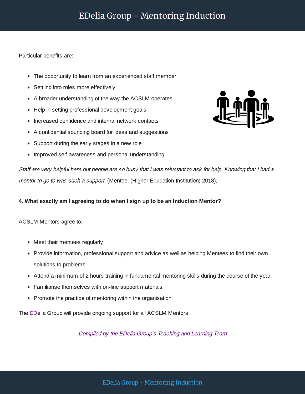# EDelia Group - Mentoring Induction

Particular benefits are:

- The opportunity to learn from an experienced staff member  $\bullet$
- Settling into roles more effectively
- A broader understanding of the way the ACSLM operates  $\bullet$
- Help in setting professional development goals  $\bullet$
- Increased confidence and internal network contacts
- A confidential sounding board for ideas and suggestions
- Support during the early stages in a new role  $\bullet$
- Improved self-awareness and personal understanding

*mentor to go to was such a support,* (Mentee, (Higher Education Institution) 2018). Staff are very helpful here but people are so busy that I was reluctant to ask for help. Knowing that I had a

### 4. What exactly am I agreeing to do when I sign up to be an Induction Mentor?

#### ACSLM Mentors agree to:

- Meet their mentees regularly
- Provide information, professional support and advice as well as helping Mentees to find their own solutions to problems
- Attend a minimum of 2 hours training in fundamental mentoring skills during the course of the year
- Familiarise themselves with on-line support materials
- Promote the practice of mentoring within the organisation

The EDelia Group will provide ongoing support for all ACSLM Mentors

Compiled by the EDelia Group's Teaching and Learning Team